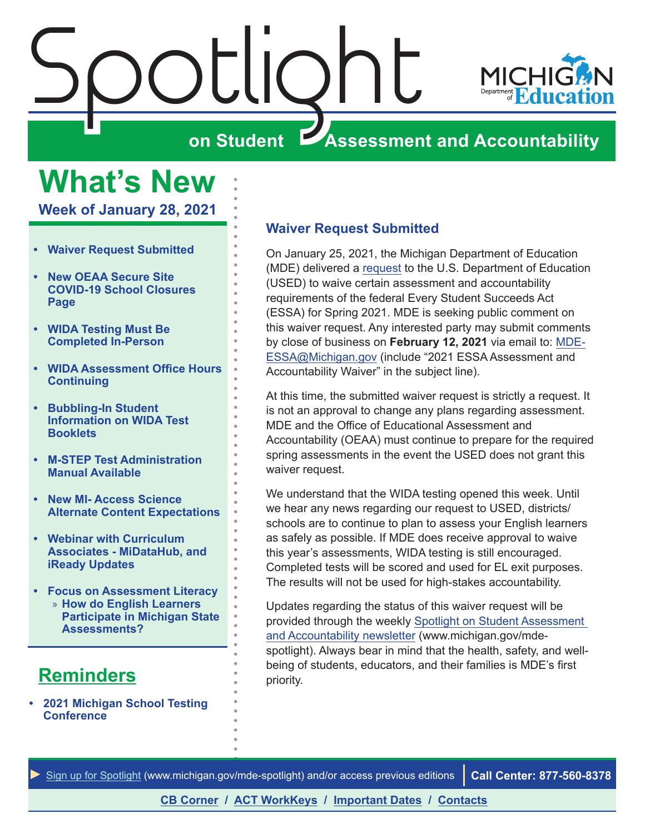<span id="page-0-0"></span>

## **What's New**

**Week of January 28, 2021**

- **• Waiver Request Submitted**
- **• [New OEAA Secure Site](#page-1-0)  [COVID-19 School Closures](#page-1-0)  [Page](#page-1-0)**
- **• [WIDA Testing Must Be](#page-1-0)  [Completed In-Person](#page-1-0)**
- **• [WIDA Assessment Office Hours](#page-1-0)  [Continuing](#page-1-0)**
- **• [Bubbling-In Student](#page-1-0)  [Information on WIDA Test](#page-1-0)  [Booklets](#page-1-0)**
- **• [M-STEP Test Administration](#page-2-0)  [Manual Available](#page-2-0)**
- **• [New MI- Access Science](#page-2-0)  [Alternate Content Expectations](#page-2-0)**
- **• [Webinar with Curriculum](#page-3-0)  [Associates - MiDataHub, and](#page-3-0)  [iReady Updates](#page-3-0)**
- **• [Focus on Assessment Literacy](#page-4-0)** » **[How do English Learners](#page-4-0)  [Participate in Michigan State](#page-4-0)  [Assessments?](#page-4-0)**

## **Reminders**

**• [2021 Michigan School Testing](#page-3-0)  [Conference](#page-3-0)** 

#### **Waiver Request Submitted**

On January 25, 2021, the Michigan Department of Education (MDE) delivered a [request](https://www.michigan.gov/documents/mde/ESSA_Waiver_Request_2021_713999_7.pdf) to the U.S. Department of Education (USED) to waive certain assessment and accountability requirements of the federal Every Student Succeeds Act (ESSA) for Spring 2021. MDE is seeking public comment on this waiver request. Any interested party may submit comments by close of business on **February 12, 2021** via email to: [MDE-](mailto:MDE-ESSA%40Michigan.gov?subject=2021%20ESSA%20Assessment%20and%20Accountability%20Waiver)[ESSA@Michigan.gov](mailto:MDE-ESSA%40Michigan.gov?subject=2021%20ESSA%20Assessment%20and%20Accountability%20Waiver) (include "2021 ESSA Assessment and Accountability Waiver" in the subject line).

At this time, the submitted waiver request is strictly a request. It is not an approval to change any plans regarding assessment. MDE and the Office of Educational Assessment and Accountability (OEAA) must continue to prepare for the required spring assessments in the event the USED does not grant this waiver request.

We understand that the WIDA testing opened this week. Until we hear any news regarding our request to USED, districts/ schools are to continue to plan to assess your English learners as safely as possible. If MDE does receive approval to waive this year's assessments, WIDA testing is still encouraged. Completed tests will be scored and used for EL exit purposes. The results will not be used for high-stakes accountability.

Updates regarding the status of this waiver request will be provided through the weekly [Spotlight on Student Assessment](http://www.michigan.gov/mde-spotlight)  [and Accountability newsletter](http://www.michigan.gov/mde-spotlight) (www.michigan.gov/mdespotlight). Always bear in mind that the health, safety, and wellbeing of students, educators, and their families is MDE's first priority.

*►* [Sign up for Spotlight](https://public.govdelivery.com/accounts/MIMDE/subscriber/new) ([www.michigan.gov/mde](www.michigan.gov/mde-spotlight)-spotlight) and/or access previous editions **Call Center: 877-560-8378**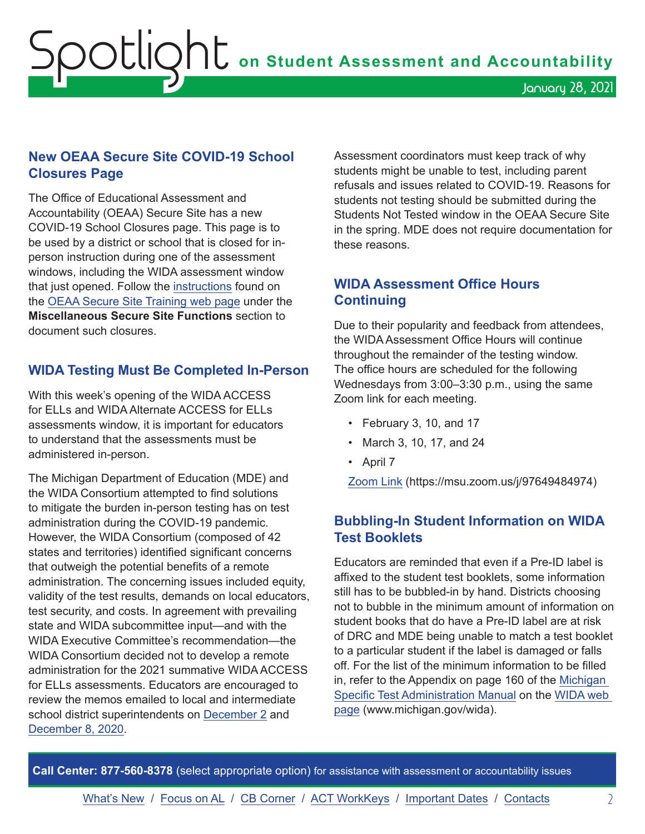#### <span id="page-1-0"></span>**New OEAA Secure Site COVID-19 School Closures Page**

The Office of Educational Assessment and Accountability (OEAA) Secure Site has a new COVID-19 School Closures page. This page is to be used by a district or school that is closed for inperson instruction during one of the assessment windows, including the WIDA assessment window that just opened. Follow the [instructions](https://www.michigan.gov/documents/mde/COVID-19_School_Closures_Instructions_714402_7.pdf) found on the [OEAA Secure Site Training web page](http://www.michigan.gov/securesitetraining) under the **Miscellaneous Secure Site Functions** section to document such closures.

#### **WIDA Testing Must Be Completed In-Person**

With this week's opening of the WIDA ACCESS for ELLs and WIDA Alternate ACCESS for ELLs assessments window, it is important for educators to understand that the assessments must be administered in-person.

The Michigan Department of Education (MDE) and the WIDA Consortium attempted to find solutions to mitigate the burden in-person testing has on test administration during the COVID-19 pandemic. However, the WIDA Consortium (composed of 42 states and territories) identified significant concerns that outweigh the potential benefits of a remote administration. The concerning issues included equity, validity of the test results, demands on local educators, test security, and costs. In agreement with prevailing state and WIDA subcommittee input—and with the WIDA Executive Committee's recommendation—the WIDA Consortium decided not to develop a remote administration for the 2021 summative WIDA ACCESS for ELLs assessments. Educators are encouraged to review the memos emailed to local and intermediate school district superintendents on [December 2](https://www.michigan.gov/documents/mde/WIDA_ACCESS_709421_7.pdf) and [December 8, 2020](https://www.michigan.gov/documents/mde/Spring_2021_State_Assessments_710008_7.pdf).

Assessment coordinators must keep track of why students might be unable to test, including parent refusals and issues related to COVID-19. Reasons for students not testing should be submitted during the Students Not Tested window in the OEAA Secure Site in the spring. MDE does not require documentation for these reasons.

#### **WIDA Assessment Office Hours Continuing**

Due to their popularity and feedback from attendees, the WIDA Assessment Office Hours will continue throughout the remainder of the testing window. The office hours are scheduled for the following Wednesdays from 3:00–3:30 p.m., using the same Zoom link for each meeting.

- February 3, 10, and 17
- March 3, 10, 17, and 24
- April 7

[Zoom Link](https://msu.zoom.us/j/97649484974) (https://msu.zoom.us/j/97649484974)

#### **Bubbling-In Student Information on WIDA Test Booklets**

Educators are reminded that even if a Pre-ID label is affixed to the student test booklets, some information still has to be bubbled-in by hand. Districts choosing not to bubble in the minimum amount of information on student books that do have a Pre-ID label are at risk of DRC and MDE being unable to match a test booklet to a particular student if the label is damaged or falls off. For the list of the minimum information to be filled in, refer to the Appendix on page 160 of the [Michigan](https://www.michigan.gov/documents/mde/WIDA_Michigan_Specific_TAM_635431_7.pdf)  [Specific Test Administration Manual](https://www.michigan.gov/documents/mde/WIDA_Michigan_Specific_TAM_635431_7.pdf) on the [WIDA web](www.michigan.gov/wida)  [page](www.michigan.gov/wida) (www.michigan.gov/wida).

**Call Center: 877-560-8378** (select appropriate option) for assistance with assessment or accountability issues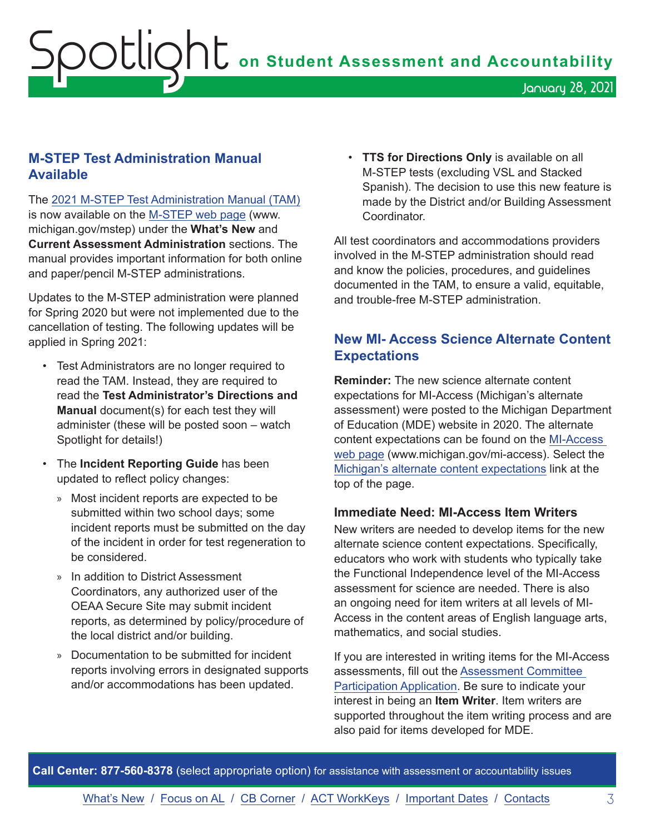#### <span id="page-2-0"></span>**M-STEP Test Administration Manual Available**

The [2021 M-STEP Test Administration Manual \(TAM\)](https://www.michigan.gov/documents/mde/M-STEP_Test_Administration_Manual_630729_7.pdf) is now available on the [M-STEP web page](www.michigan.gov/mstep) (www. michigan.gov/mstep) under the **What's New** and **Current Assessment Administration** sections. The manual provides important information for both online and paper/pencil M-STEP administrations.

Updates to the M-STEP administration were planned for Spring 2020 but were not implemented due to the cancellation of testing. The following updates will be applied in Spring 2021:

- Test Administrators are no longer required to read the TAM. Instead, they are required to read the **Test Administrator's Directions and Manual** document(s) for each test they will administer (these will be posted soon – watch Spotlight for details!)
- The **Incident Reporting Guide** has been updated to reflect policy changes:
	- » Most incident reports are expected to be submitted within two school days; some incident reports must be submitted on the day of the incident in order for test regeneration to be considered.
	- » In addition to District Assessment Coordinators, any authorized user of the OEAA Secure Site may submit incident reports, as determined by policy/procedure of the local district and/or building.
	- » Documentation to be submitted for incident reports involving errors in designated supports and/or accommodations has been updated.

• **TTS for Directions Only** is available on all M-STEP tests (excluding VSL and Stacked Spanish). The decision to use this new feature is made by the District and/or Building Assessment **Coordinator** 

All test coordinators and accommodations providers involved in the M-STEP administration should read and know the policies, procedures, and guidelines documented in the TAM, to ensure a valid, equitable, and trouble-free M-STEP administration.

#### **New MI- Access Science Alternate Content Expectations**

**Reminder:** The new science alternate content expectations for MI-Access (Michigan's alternate assessment) were posted to the Michigan Department of Education (MDE) website in 2020. The alternate content expectations can be found on the [MI-Access](http://www.michigan.gov/mi-access)  [web page](http://www.michigan.gov/mi-access) (www.michigan.gov/mi-access). Select the [Michigan's alternate content expectations](https://www.michigan.gov/mde/0,4615,7-140-22709_28463-410070--,00.html) link at the top of the page.

#### **Immediate Need: MI-Access Item Writers**

New writers are needed to develop items for the new alternate science content expectations. Specifically, educators who work with students who typically take the Functional Independence level of the MI-Access assessment for science are needed. There is also an ongoing need for item writers at all levels of MI-Access in the content areas of English language arts, mathematics, and social studies.

If you are interested in writing items for the MI-Access assessments, fill out the [Assessment Committee](https://www.cvent.com/surveys/Welcome.aspx?s=cca0a288-2989-49f7-ba37-9c0596722ca0)  [Participation Application](https://www.cvent.com/surveys/Welcome.aspx?s=cca0a288-2989-49f7-ba37-9c0596722ca0). Be sure to indicate your interest in being an **Item Writer**. Item writers are supported throughout the item writing process and are also paid for items developed for MDE.

**Call Center: 877-560-8378** (select appropriate option) for assistance with assessment or accountability issues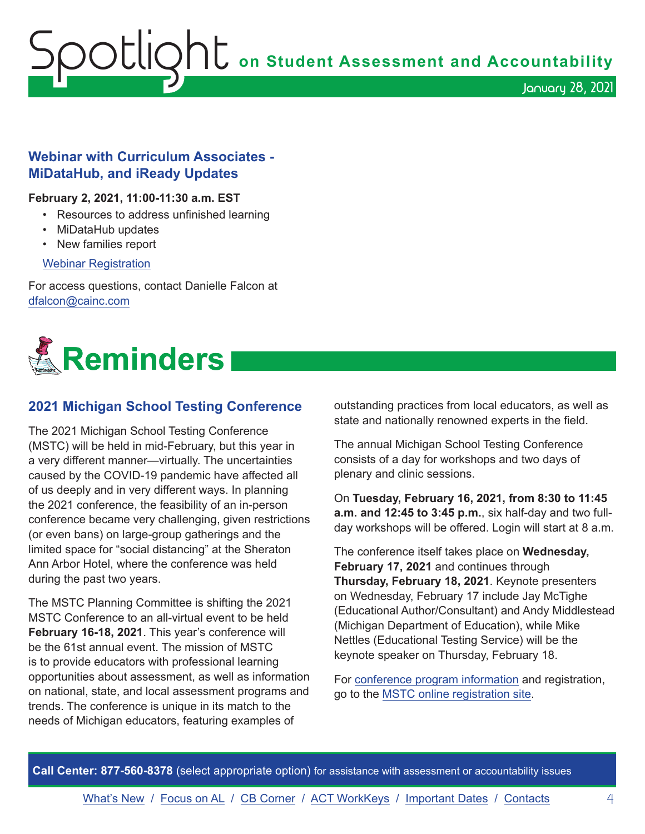<span id="page-3-0"></span>Spotlight **on Student Assessment and Accountability**

#### **Webinar with Curriculum Associates - MiDataHub, and iReady Updates**

#### **February 2, 2021, 11:00-11:30 a.m. EST**

- Resources to address unfinished learning
- MiDataHub updates
- New families report

#### [Webinar Registration](https://cainc.zoom.us/webinar/register/WN_jfKa0emFQ7GY4zXLB9LXnQ)

For access questions, contact Danielle Falcon at [dfalcon@cainc.com](mailto:dfalcon%40cainc.com?subject=)



#### **2021 Michigan School Testing Conference**

The 2021 Michigan School Testing Conference (MSTC) will be held in mid-February, but this year in a very different manner—virtually. The uncertainties caused by the COVID-19 pandemic have affected all of us deeply and in very different ways. In planning the 2021 conference, the feasibility of an in-person conference became very challenging, given restrictions (or even bans) on large-group gatherings and the limited space for "social distancing" at the Sheraton Ann Arbor Hotel, where the conference was held during the past two years.

The MSTC Planning Committee is shifting the 2021 MSTC Conference to an all-virtual event to be held **February 16-18, 2021**. This year's conference will be the 61st annual event. The mission of MSTC is to provide educators with professional learning opportunities about assessment, as well as information on national, state, and local assessment programs and trends. The conference is unique in its match to the needs of Michigan educators, featuring examples of

outstanding practices from local educators, as well as state and nationally renowned experts in the field.

The annual Michigan School Testing Conference consists of a day for workshops and two days of plenary and clinic sessions.

On **Tuesday, February 16, 2021, from 8:30 to 11:45 a.m. and 12:45 to 3:45 p.m.**, six half-day and two fullday workshops will be offered. Login will start at 8 a.m.

The conference itself takes place on **Wednesday, February 17, 2021** and continues through **Thursday, February 18, 2021**. Keynote presenters on Wednesday, February 17 include Jay McTighe (Educational Author/Consultant) and Andy Middlestead (Michigan Department of Education), while Mike Nettles (Educational Testing Service) will be the keynote speaker on Thursday, February 18.

For [conference program information](http://gomasa.org/wp-content/uploads/mstcPromo2021.pdf) and registration, go to the [MSTC online registration site](http://gomasa.org/mstc2021).

**Call Center: 877-560-8378** (select appropriate option) for assistance with assessment or accountability issues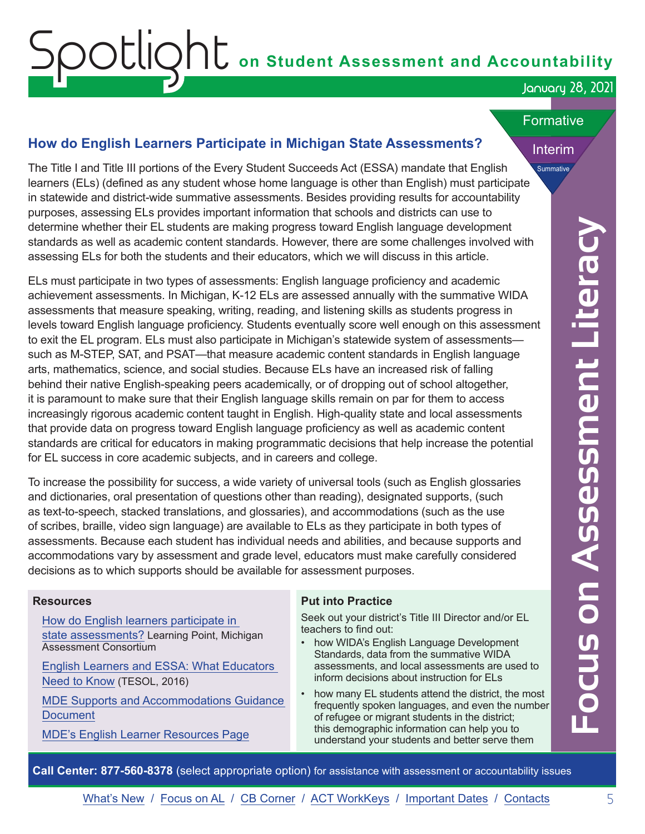# <span id="page-4-0"></span>OOUOOO on Student Assessment and Accountability

#### January 28, 2021

#### **Formative**

Interim

Summative

#### **How do English Learners Participate in Michigan State Assessments?**

The Title I and Title III portions of the Every Student Succeeds Act (ESSA) mandate that English learners (ELs) (defined as any student whose home language is other than English) must participate in statewide and district-wide summative assessments. Besides providing results for accountability purposes, assessing ELs provides important information that schools and districts can use to determine whether their EL students are making progress toward English language development standards as well as academic content standards. However, there are some challenges involved with assessing ELs for both the students and their educators, which we will discuss in this article.

where Their External to the state making provises bowed Encipies language development<br>where the measure of the state makes in two states and their educators, which we will discuss in this article.<br>ELs for both the students ELs must participate in two types of assessments: English language proficiency and academic achievement assessments. In Michigan, K-12 ELs are assessed annually with the summative WIDA assessments that measure speaking, writing, reading, and listening skills as students progress in levels toward English language proficiency. Students eventually score well enough on this assessment to exit the EL program. ELs must also participate in Michigan's statewide system of assessments such as M-STEP, SAT, and PSAT—that measure academic content standards in English language arts, mathematics, science, and social studies. Because ELs have an increased risk of falling behind their native English-speaking peers academically, or of dropping out of school altogether, it is paramount to make sure that their English language skills remain on par for them to access increasingly rigorous academic content taught in English. High-quality state and local assessments that provide data on progress toward English language proficiency as well as academic content standards are critical for educators in making programmatic decisions that help increase the potential for EL success in core academic subjects, and in careers and college.

To increase the possibility for success, a wide variety of universal tools (such as English glossaries and dictionaries, oral presentation of questions other than reading), designated supports, (such as text-to-speech, stacked translations, and glossaries), and accommodations (such as the use of scribes, braille, video sign language) are available to ELs as they participate in both types of assessments. Because each student has individual needs and abilities, and because supports and accommodations vary by assessment and grade level, educators must make carefully considered decisions as to which supports should be available for assessment purposes.

#### **Resources**

[How do English learners participate in](https://www.michiganassessmentconsortium.org/wp-content/uploads/LP-ENGLISH-LEARNER-PARTICIPATION.pdf)  [state assessments?](https://www.michiganassessmentconsortium.org/wp-content/uploads/LP-ENGLISH-LEARNER-PARTICIPATION.pdf) Learning Point, Michigan Assessment Consortium

[English Learners and ESSA: What Educators](http://www.meeting-support.com/downloads/662321/8815/TESOL%20ESSA%20Resource%20Kit%20Final.pdf)  [Need to Know](http://www.meeting-support.com/downloads/662321/8815/TESOL%20ESSA%20Resource%20Kit%20Final.pdf) (TESOL, 2016)

[MDE Supports and Accommodations Guidance](https://www.michigan.gov/documents/mde/Michigan_Accommodations_Manual.final_480016_7.pdf)  **[Document](https://www.michigan.gov/documents/mde/Michigan_Accommodations_Manual.final_480016_7.pdf)** 

[MDE's English Learner Resources Page](https://www.michigan.gov/mde/0,4615,7-140-81376_88063---,00.html)

#### **Put into Practice**

Seek out your district's Title III Director and/or EL teachers to find out:

- how WIDA's English Language Development Standards, data from the summative WIDA assessments, and local assessments are used to inform decisions about instruction for ELs
- how many EL students attend the district, the most frequently spoken languages, and even the number of refugee or migrant students in the district; this demographic information can help you to understand your students and better serve them

**Call Center: 877-560-8378** (select appropriate option) for assistance with assessment or accountability issues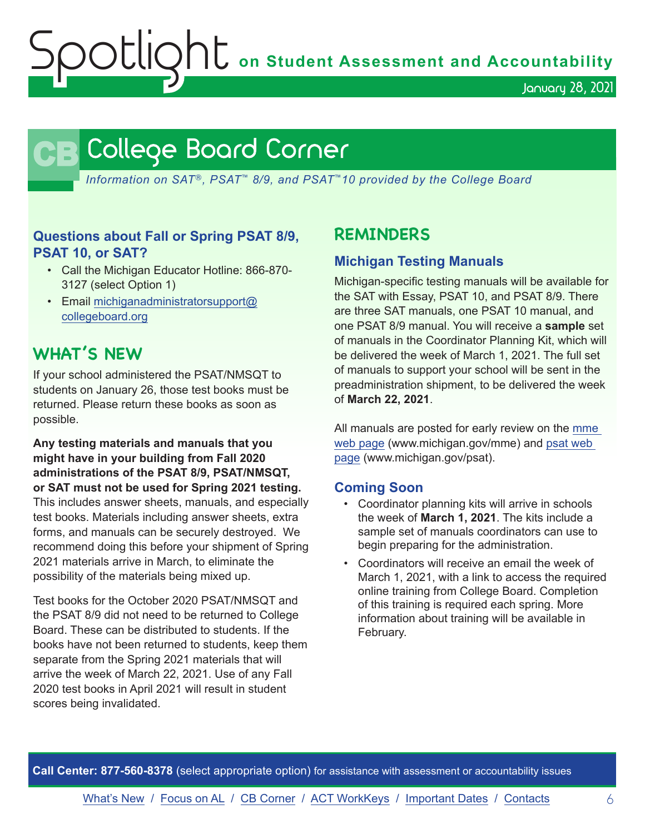Spotlight **on Student Assessment and Accountability**

January 28, 2021

## **CB** College Board Corner

<span id="page-5-0"></span>*Information on SAT*®*, PSAT*™ *8/9, and PSAT*™*10 provided by the College Board*

#### **Questions about Fall or Spring PSAT 8/9, PSAT 10, or SAT?**

- Call the Michigan Educator Hotline: 866-870- 3127 (select Option 1)
- Email [michiganadministratorsupport@](mailto:michiganadministratorsupport%40collegeboard.org?subject=) [collegeboard.org](mailto:michiganadministratorsupport%40collegeboard.org?subject=)

### **WHAT'S NEW**

If your school administered the PSAT/NMSQT to students on January 26, those test books must be returned. Please return these books as soon as possible.

**Any testing materials and manuals that you might have in your building from Fall 2020 administrations of the PSAT 8/9, PSAT/NMSQT, or SAT must not be used for Spring 2021 testing.** This includes answer sheets, manuals, and especially test books. Materials including answer sheets, extra forms, and manuals can be securely destroyed. We recommend doing this before your shipment of Spring 2021 materials arrive in March, to eliminate the possibility of the materials being mixed up.

Test books for the October 2020 PSAT/NMSQT and the PSAT 8/9 did not need to be returned to College Board. These can be distributed to students. If the books have not been returned to students, keep them separate from the Spring 2021 materials that will arrive the week of March 22, 2021. Use of any Fall 2020 test books in April 2021 will result in student scores being invalidated.

### **REMINDERS**

#### **Michigan Testing Manuals**

Michigan-specific testing manuals will be available for the SAT with Essay, PSAT 10, and PSAT 8/9. There are three SAT manuals, one PSAT 10 manual, and one PSAT 8/9 manual. You will receive a **sample** set of manuals in the Coordinator Planning Kit, which will be delivered the week of March 1, 2021. The full set of manuals to support your school will be sent in the preadministration shipment, to be delivered the week of **March 22, 2021**.

All manuals are posted for early review on the mme [web page](www.michigan.gov/mme) (www.michigan.gov/mme) and [psat web](http://www.michigan.gov/psat)  [page](http://www.michigan.gov/psat) (www.michigan.gov/psat).

#### **Coming Soon**

- Coordinator planning kits will arrive in schools the week of **March 1, 2021**. The kits include a sample set of manuals coordinators can use to begin preparing for the administration.
- Coordinators will receive an email the week of March 1, 2021, with a link to access the required online training from College Board. Completion of this training is required each spring. More information about training will be available in February.

**Call Center: 877-560-8378** (select appropriate option) for assistance with assessment or accountability issues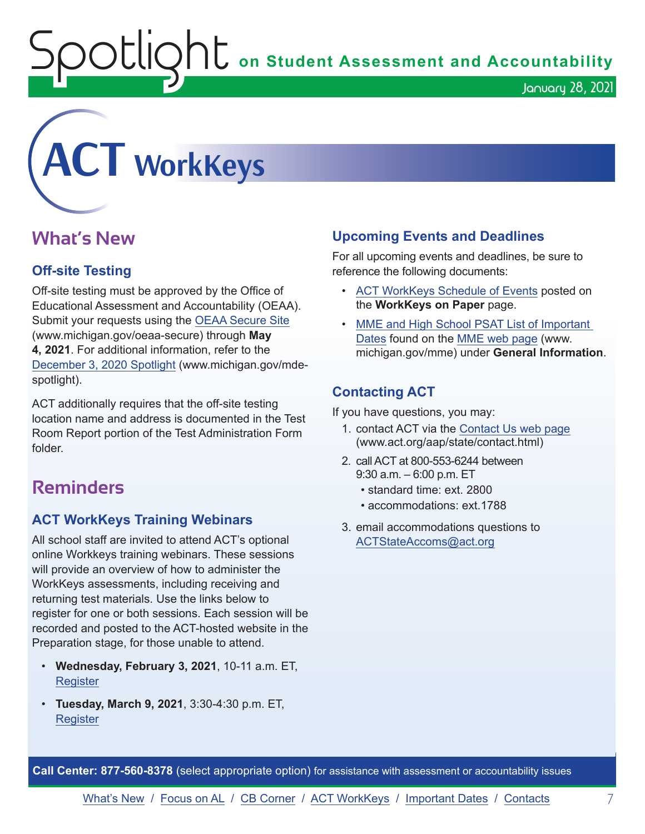$\mathop{\rm O}\nolimits$   $\mathop{\rm Cl}\nolimits$   $\mathop{\rm O}\nolimits$   $\mathop{\rm Cl}\nolimits$  on Student Assessment and Accountability

<span id="page-6-0"></span>

## **What's New**

#### **Off-site Testing**

Off-site testing must be approved by the Office of Educational Assessment and Accountability (OEAA). Submit your requests using the [OEAA Secure Site](http://www.michigan.gov/oeaa-secure) (www.michigan.gov/oeaa-secure) through **May 4, 2021**. For additional information, refer to the [December 3, 2020 Spotlight](https://www.michigan.gov/documents/mde/Spotlight_12-3-20_709543_7.pdf) (www.michigan.gov/mdespotlight).

ACT additionally requires that the off-site testing location name and address is documented in the Test Room Report portion of the Test Administration Form folder.

## **Reminders**

#### **ACT WorkKeys Training Webinars**

All school staff are invited to attend ACT's optional online Workkeys training webinars. These sessions will provide an overview of how to administer the WorkKeys assessments, including receiving and returning test materials. Use the links below to register for one or both sessions. Each session will be recorded and posted to the ACT-hosted website in the Preparation stage, for those unable to attend.

- **Wednesday, February 3, 2021**, 10-11 a.m. ET, **Register**
- **Tuesday, March 9, 2021**, 3:30-4:30 p.m. ET, [Register](https://event.on24.com/wcc/r/2786186/CF7F33DC4E50245260EB7C422A035629)

#### **Upcoming Events and Deadlines**

For all upcoming events and deadlines, be sure to reference the following documents:

- [ACT WorkKeys Schedule of Events](https://content.act.org/michigan/r/YWy2bAxclTdZAcOxrrNErw/root) posted on the **WorkKeys on Paper** page.
- [MME and High School PSAT List of Important](https://www.michigan.gov/mde/0,4615,7-140-22709_35150-544814--,00.html)  [Dates](https://www.michigan.gov/mde/0,4615,7-140-22709_35150-544814--,00.html) found on the [MME web page](www.michigan.gov/mme) (www. michigan.gov/mme) under **General Information**.

#### **Contacting ACT**

If you have questions, you may:

- 1. contact ACT via the [Contact Us web page](http://www.act.org/aap/state/contact.html) ([www.act.org/aap/state/contact.html](https://www.act.org/aap/state/contact.html))
- 2. call ACT at 800-553-6244 between 9:30 a.m. – 6:00 p.m. ET
	- standard time: ext. 2800
	- accommodations: ext.1788
- 3. email accommodations questions to [ACTStateAccoms@act.org](mailto:ACTStateAccoms%40act.org?subject=)

**Call Center: 877-560-8378** (select appropriate option) for assistance with assessment or accountability issues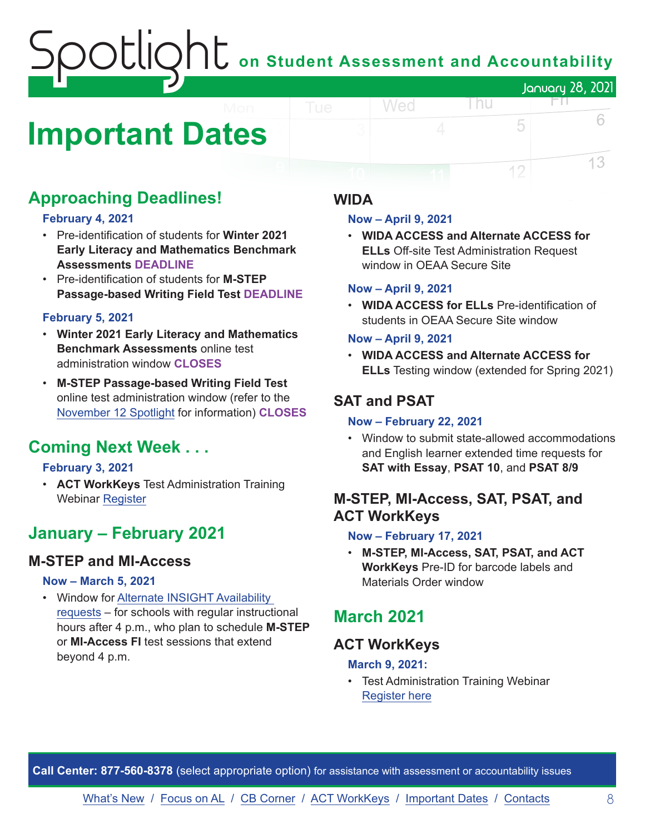## on Student Assessment and Accountability January 28, 2021

## <span id="page-7-0"></span>**Important Dates**

## **Approaching Deadlines!**

#### **February 4, 2021**

- Pre-identification of students for **Winter 2021 Early Literacy and Mathematics Benchmark Assessments DEADLINE**
- Pre-identification of students for **M-STEP Passage-based Writing Field Test DEADLINE**

#### **February 5, 2021**

- **Winter 2021 Early Literacy and Mathematics Benchmark Assessments** online test administration window **CLOSES**
- **M-STEP Passage-based Writing Field Test** online test administration window (refer to the [November 12 Spotlight](https://www.michigan.gov/documents/mde/Spotlight_11-12-20_707634_7.pdf) for information) **CLOSES**

## **Coming Next Week . . .**

#### **February 3, 2021**

• **ACT WorkKeys** Test Administration Training Webinar [Register](https://event.on24.com/wcc/r/2786210/9279DAC5A1986A90716F32200C601BD8)

## **January – February 2021**

#### **M-STEP and MI-Access**

#### **Now – March 5, 2021**

• Window for [Alternate INSIGHT Availability](https://www.surveymonkey.com/r/INSIGHTAvailabilityRequest)  [requests](https://www.surveymonkey.com/r/INSIGHTAvailabilityRequest) – for schools with regular instructional hours after 4 p.m., who plan to schedule **M-STEP** or **MI-Access FI** test sessions that extend beyond 4 p.m.

#### **WIDA**

#### **Now – April 9, 2021**

Wed

• **WIDA ACCESS and Alternate ACCESS for ELLs** Off-site Test Administration Request window in OEAA Secure Site

l nu

E N.

5

12

6

13

#### **Now – April 9, 2021**

• **WIDA ACCESS for ELLs** Pre-identification of students in OEAA Secure Site window

#### **Now – April 9, 2021**

• **WIDA ACCESS and Alternate ACCESS for ELLs** Testing window (extended for Spring 2021)

### **SAT and PSAT**

#### **Now – February 22, 2021**

• Window to submit state-allowed accommodations and English learner extended time requests for **SAT with Essay**, **PSAT 10**, and **PSAT 8/9**

#### **M-STEP, MI-Access, SAT, PSAT, and ACT WorkKeys**

#### **Now – February 17, 2021**

• **M-STEP, MI-Access, SAT, PSAT, and ACT WorkKeys** Pre-ID for barcode labels and Materials Order window

## **March 2021**

#### **ACT WorkKeys**

#### **March 9, 2021:**

• Test Administration Training Webinar [Register here](https://event.on24.com/wcc/r/2786186/CF7F33DC4E50245260EB7C422A035629)

**Call Center: 877-560-8378** (select appropriate option) for assistance with assessment or accountability issues